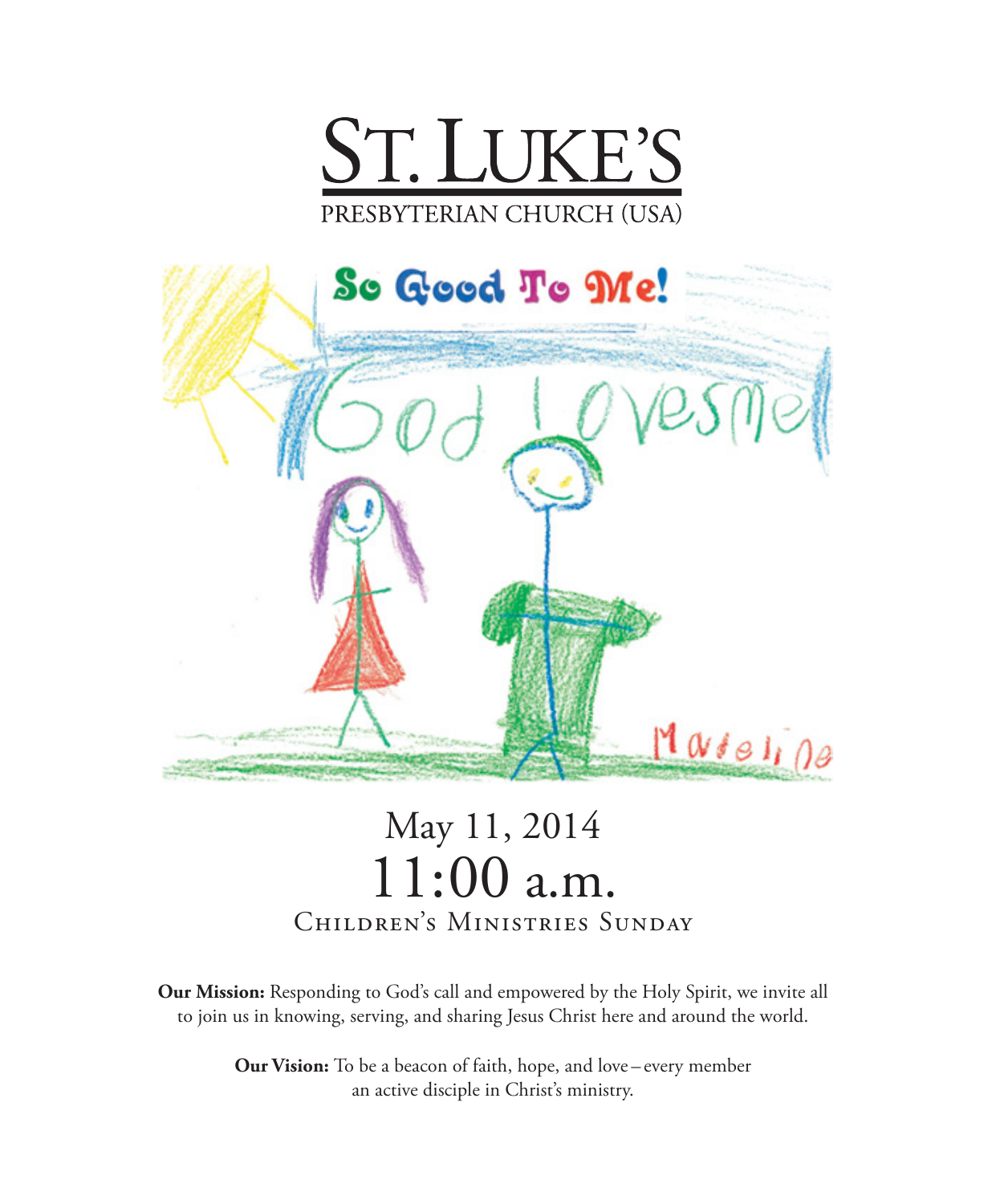



# May 11, 2014 11:00 a.m. Children's Ministries Sunday

**Our Mission:** Responding to God's call and empowered by the Holy Spirit, we invite all to join us in knowing, serving, and sharing Jesus Christ here and around the world.

> **Our Vision:** To be a beacon of faith, hope, and love – every member an active disciple in Christ's ministry.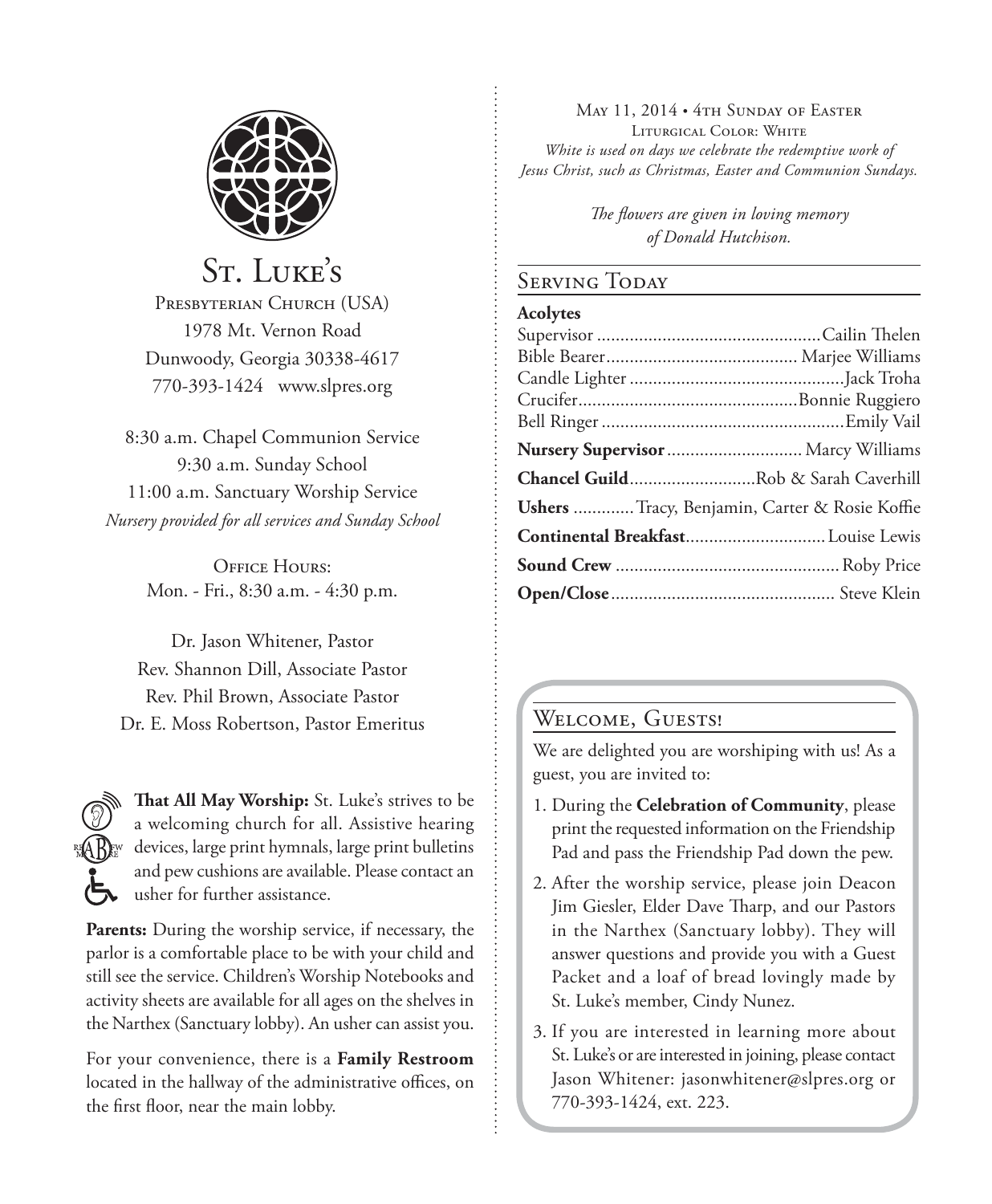

St. Luke's PRESBYTERIAN CHURCH (USA) 1978 Mt. Vernon Road Dunwoody, Georgia 30338-4617 770-393-1424 www.slpres.org

8:30 a.m. Chapel Communion Service 9:30 a.m. Sunday School 11:00 a.m. Sanctuary Worship Service *Nursery provided for all services and Sunday School*

> OFFICE HOURS' Mon. - Fri., 8:30 a.m. - 4:30 p.m.

Dr. Jason Whitener, Pastor Rev. Shannon Dill, Associate Pastor Rev. Phil Brown, Associate Pastor Dr. E. Moss Robertson, Pastor Emeritus



**That All May Worship:** St. Luke's strives to be a welcoming church for all. Assistive hearing devices, large print hymnals, large print bulletins and pew cushions are available. Please contact an usher for further assistance.

**Parents:** During the worship service, if necessary, the parlor is a comfortable place to be with your child and still see the service. Children's Worship Notebooks and activity sheets are available for all ages on the shelves in the Narthex (Sanctuary lobby). An usher can assist you.

For your convenience, there is a **Family Restroom** located in the hallway of the administrative offices, on the first floor, near the main lobby.

May 11, 2014 • 4th Sunday of Easter Liturgical Color: White *White is used on days we celebrate the redemptive work of Jesus Christ, such as Christmas, Easter and Communion Sundays.* 

> *The flowers are given in loving memory of Donald Hutchison.*

#### Serving Today

#### **Acolytes**

| Nursery Supervisor  Marcy Williams                   |  |
|------------------------------------------------------|--|
| Chancel GuildRob & Sarah Caverhill                   |  |
| <b>Ushers</b> Tracy, Benjamin, Carter & Rosie Koffie |  |
|                                                      |  |
|                                                      |  |
|                                                      |  |

#### WELCOME, GUESTS!

We are delighted you are worshiping with us! As a guest, you are invited to:

- 1. During the **Celebration of Community**, please print the requested information on the Friendship Pad and pass the Friendship Pad down the pew.
- 2. After the worship service, please join Deacon Jim Giesler, Elder Dave Tharp, and our Pastors in the Narthex (Sanctuary lobby). They will answer questions and provide you with a Guest Packet and a loaf of bread lovingly made by St. Luke's member, Cindy Nunez.
- 3. If you are interested in learning more about St. Luke's or are interested in joining, please contact Jason Whitener: jasonwhitener@slpres.org or 770-393-1424, ext. 223.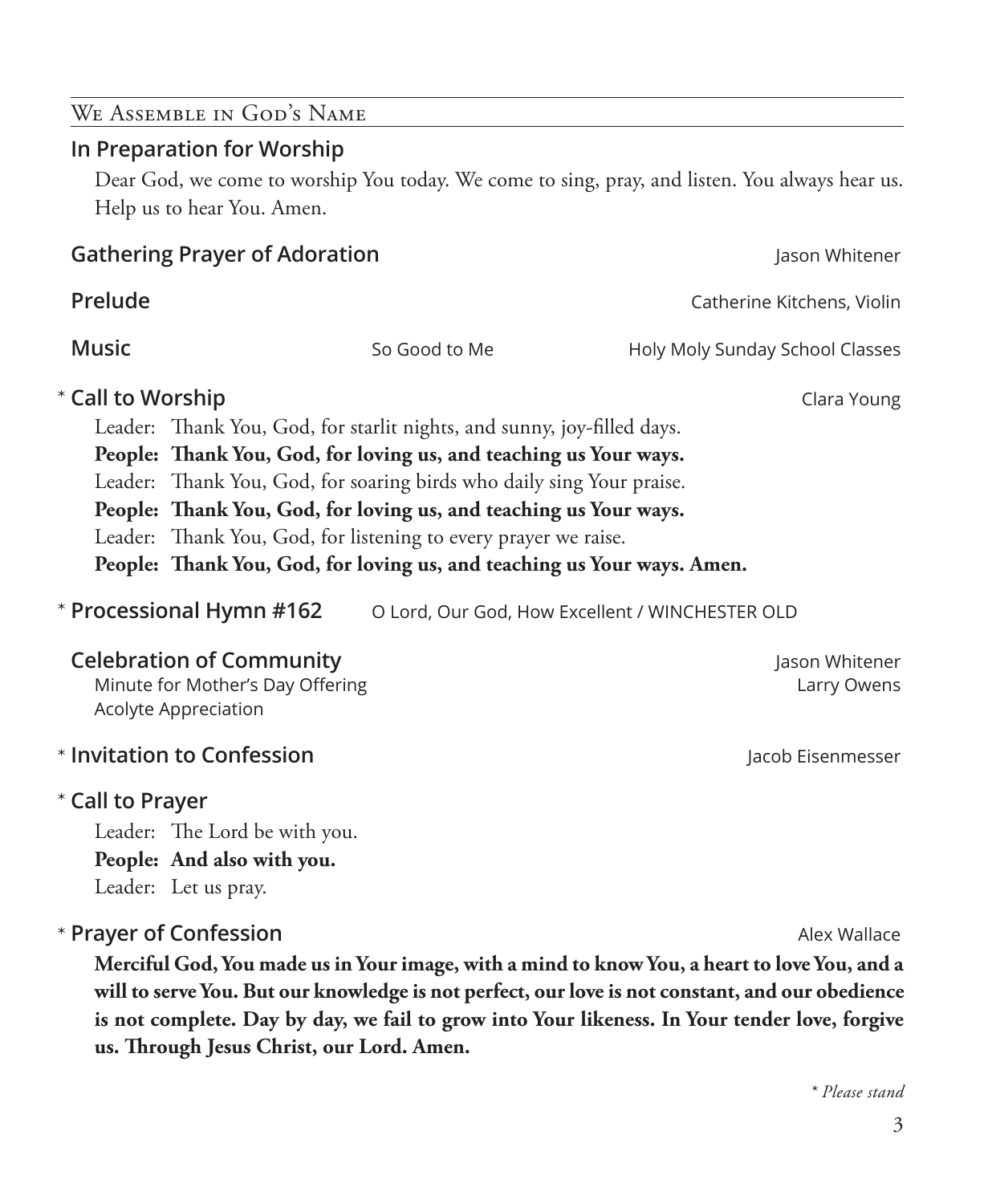3

# **Prelude** Catherine Kitchens, Violin **Music** Music So Good to Me Holy Moly Sunday School Classes \* Call to Worship **Clara Young** Leader: Thank You, God, for starlit nights, and sunny, joy-filled days. **People: Thank You, God, for loving us, and teaching us Your ways.** Leader: Thank You, God, for soaring birds who daily sing Your praise. **People: Thank You, God, for loving us, and teaching us Your ways.** Leader: Thank You, God, for listening to every prayer we raise. **People: Thank You, God, for loving us, and teaching us Your ways. Amen. Processional Direct Deal Added** Andrew Byrochester CLD **Celebration of Community Jason Whitener Jason Whitener Jason Whitener** Minute for Mother's Day Offering **State Communist Communist Communist Communist Communist Communist Communist Communist Communist Communist Communist Communist Communist Communist Communist Communist Communist Communist Co** Acolyte Appreciation **Invitation to Confession Alternative Confession Jacob Eisenmesser Call to Prayer**  \*

Leader: The Lord be with you. **People: And also with you.**

Leader: Let us pray.

## **Prayer of Confession Alex Wallace Alex Wallace Alex Wallace**

 **Merciful God, You made us in Your image, with a mind to know You, a heart to love You, and a will to serve You. But our knowledge is not perfect, our love is not constant, and our obedience is not complete. Day by day, we fail to grow into Your likeness. In Your tender love, forgive us. Through Jesus Christ, our Lord. Amen.**

**In Preparation for Worship**

We Assemble in God's Name

 Dear God, we come to worship You today. We come to sing, pray, and listen. You always hear us. Help us to hear You. Amen.

**Gathering Prayer of Adoration** Jason Whitener

\* Processional Hymn #162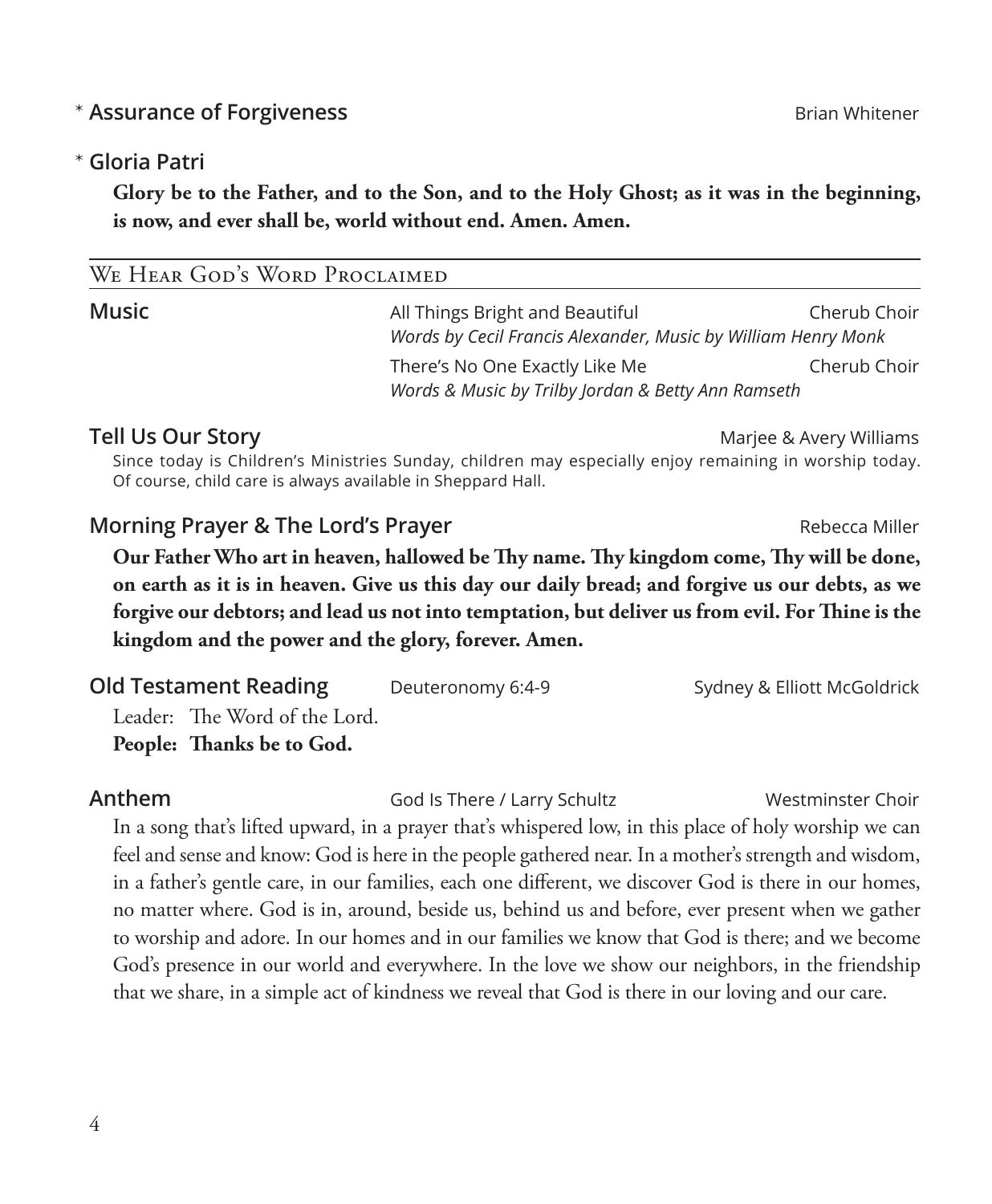### **Assurance of Forgiveness Brian Whitener Brian Whitener**

#### **Gloria Patri** \*

 **Glory be to the Father, and to the Son, and to the Holy Ghost; as it was in the beginning, is now, and ever shall be, world without end. Amen. Amen.**

| WE TIEAR OUD 3 WORD I RUCLAIMED |                                                                                                  |              |
|---------------------------------|--------------------------------------------------------------------------------------------------|--------------|
| Music                           | All Things Bright and Beautiful<br>Words by Cecil Francis Alexander, Music by William Henry Monk | Cherub Choir |
|                                 | There's No One Exactly Like Me                                                                   | Cherub Choir |
|                                 | Words & Music by Trilby Jordan & Betty Ann Ramseth                                               |              |

**Tell Us Our Story** Marjee & Avery Williams

 Since today is Children's Ministries Sunday, children may especially enjoy remaining in worship today. Of course, child care is always available in Sheppard Hall.

#### **Morning Prayer & The Lord's Prayer Report According Prayer** Rebecca Miller

WE HEAR GOD'S WORD PROCLAIMED

 **Our Father Who art in heaven, hallowed be Thy name. Thy kingdom come, Thy will be done, on earth as it is in heaven. Give us this day our daily bread; and forgive us our debts, as we forgive our debtors; and lead us not into temptation, but deliver us from evil. For Thine is the kingdom and the power and the glory, forever. Amen.**

| <b>Old Testament Reading</b>  | Deuteronomy 6:4-9 | Sydney & Elliott McGoldrick |
|-------------------------------|-------------------|-----------------------------|
| Leader: The Word of the Lord. |                   |                             |
| People: Thanks be to God.     |                   |                             |

**Anthem God Is There / Larry Schultz** Westminster Choir

 In a song that's lifted upward, in a prayer that's whispered low, in this place of holy worship we can feel and sense and know: God is here in the people gathered near. In a mother's strength and wisdom, in a father's gentle care, in our families, each one different, we discover God is there in our homes, no matter where. God is in, around, beside us, behind us and before, ever present when we gather to worship and adore. In our homes and in our families we know that God is there; and we become God's presence in our world and everywhere. In the love we show our neighbors, in the friendship that we share, in a simple act of kindness we reveal that God is there in our loving and our care.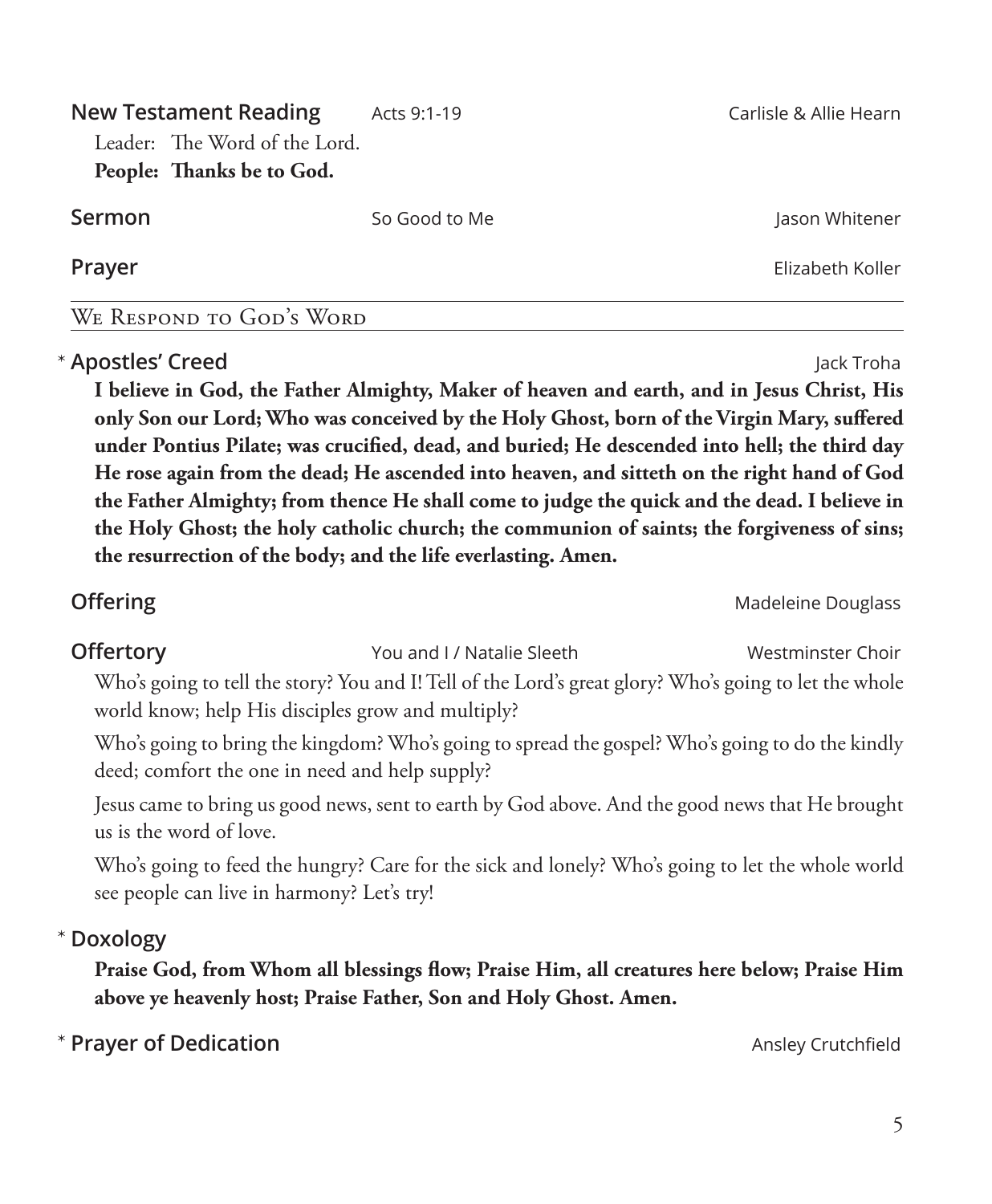**New Testament Reading** Acts 9:1-19 **Acts 100 Carlisle & Allie Hearn** Leader: The Word of the Lord. **People: Thanks be to God. Sermon** So Good to Me Jason Whitener

**Prayer** Elizabeth Koller

We Respond to God's Word

**Apostles' Creed** Jack Troha \*  **I believe in God, the Father Almighty, Maker of heaven and earth, and in Jesus Christ, His only Son our Lord; Who was conceived by the Holy Ghost, born of the Virgin Mary, suffered under Pontius Pilate; was crucified, dead, and buried; He descended into hell; the third day He rose again from the dead; He ascended into heaven, and sitteth on the right hand of God the Father Almighty; from thence He shall come to judge the quick and the dead. I believe in the Holy Ghost; the holy catholic church; the communion of saints; the forgiveness of sins; the resurrection of the body; and the life everlasting. Amen.** 

**Offertory Westmin State Choir** You and I / Natalie Sleeth **Westminster Choir** 

 Who's going to tell the story? You and I! Tell of the Lord's great glory? Who's going to let the whole world know; help His disciples grow and multiply?

 Who's going to bring the kingdom? Who's going to spread the gospel? Who's going to do the kindly deed; comfort the one in need and help supply?

 Jesus came to bring us good news, sent to earth by God above. And the good news that He brought us is the word of love.

 Who's going to feed the hungry? Care for the sick and lonely? Who's going to let the whole world see people can live in harmony? Let's try!

**Doxology** \*

> **Praise God, from Whom all blessings flow; Praise Him, all creatures here below; Praise Him above ye heavenly host; Praise Father, Son and Holy Ghost. Amen.**

**Prayer of Dedication Ansley Crutchfield Ansley Crutchfield** 

5

**Offering** Madeleine Douglass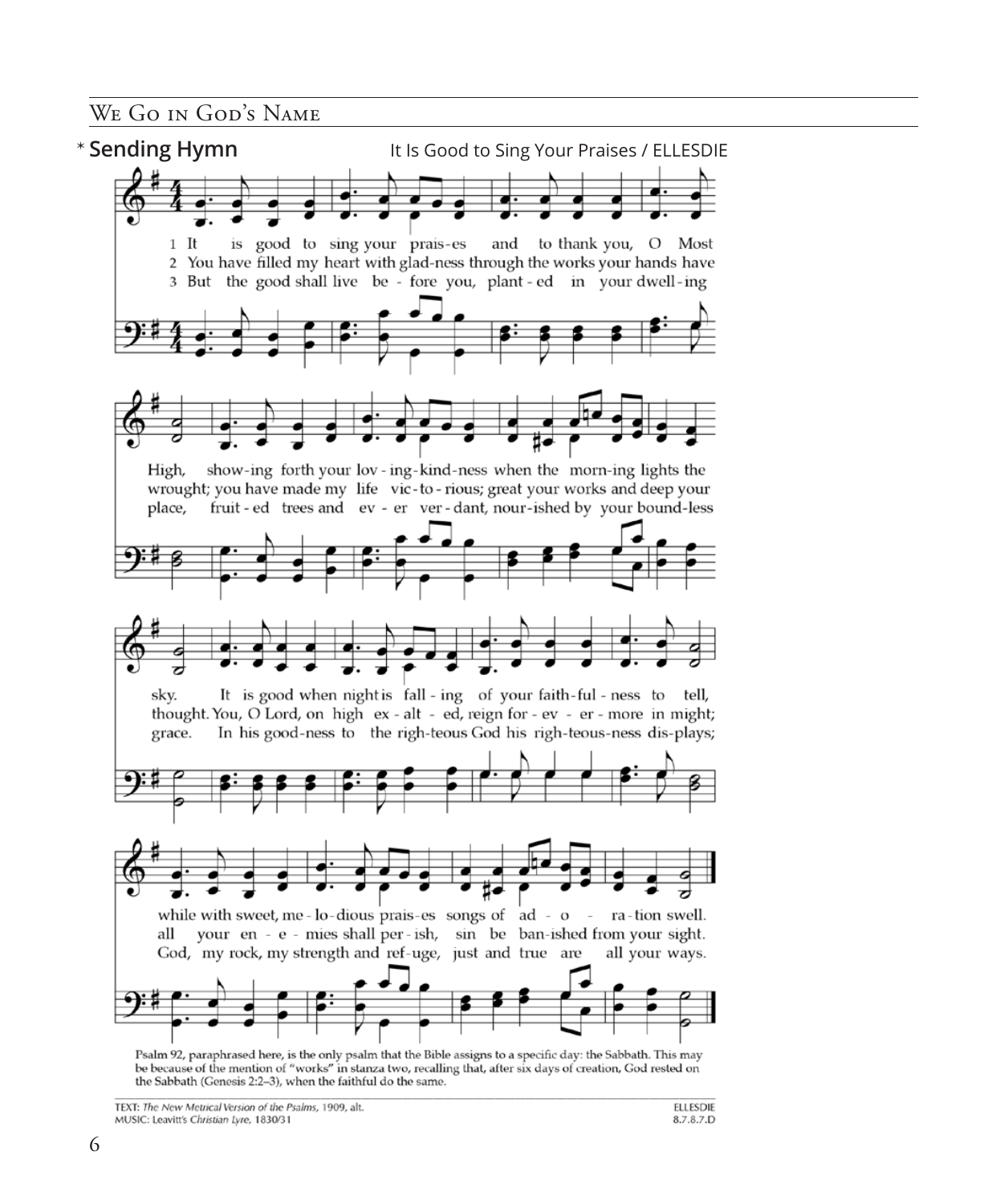WE GO IN GOD'S NAME



the Sabbath (Genesis 2:2-3), when the faithful do the same.

TEXT: The New Metrical Version of the Psalms, 1909, alt. MUSIC: Leavitt's Christian Lyre, 1830/31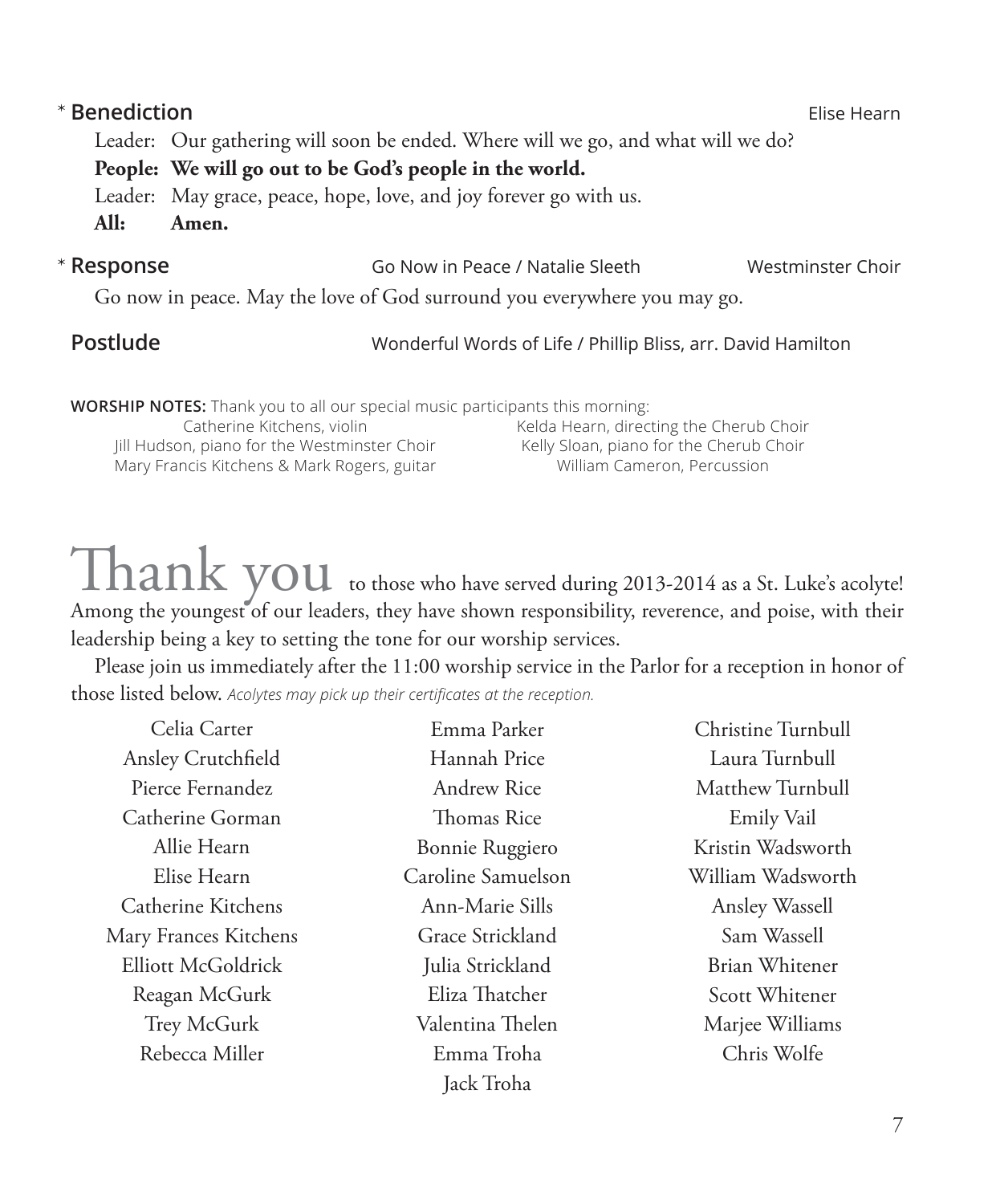| * Benediction |                                                                                                                           |                                                                                                                   | Elise Hearn       |
|---------------|---------------------------------------------------------------------------------------------------------------------------|-------------------------------------------------------------------------------------------------------------------|-------------------|
|               | Leader: Our gathering will soon be ended. Where will we go, and what will we do?                                          |                                                                                                                   |                   |
|               | People: We will go out to be God's people in the world.                                                                   |                                                                                                                   |                   |
|               | Leader: May grace, peace, hope, love, and joy forever go with us.                                                         |                                                                                                                   |                   |
| All:          | Amen.                                                                                                                     |                                                                                                                   |                   |
| * Response    |                                                                                                                           | Go Now in Peace / Natalie Sleeth                                                                                  | Westminster Choir |
|               | Go now in peace. May the love of God surround you everywhere you may go.                                                  |                                                                                                                   |                   |
| Postlude      |                                                                                                                           | Wonderful Words of Life / Phillip Bliss, arr. David Hamilton                                                      |                   |
|               | <b>WORSHIP NOTES:</b> Thank you to all our special music participants this morning:                                       |                                                                                                                   |                   |
|               | Catherine Kitchens, violin<br>Jill Hudson, piano for the Westminster Choir<br>Mary Francis Kitchens & Mark Rogers, guitar | Kelda Hearn, directing the Cherub Choir<br>Kelly Sloan, piano for the Cherub Choir<br>William Cameron, Percussion |                   |

# ${\rm \, rank\, you}$  to those who have served during 2013-2014 as a St. Luke's acolyte! Among the youngest of our leaders, they have shown responsibility, reverence, and poise, with their leadership being a key to setting the tone for our worship services.

Please join us immediately after the 11:00 worship service in the Parlor for a reception in honor of those listed below. *Acolytes may pick up their certificates at the reception.*

| Celia Carter          | Emma Parker        | Christine Turnbull |
|-----------------------|--------------------|--------------------|
| Ansley Crutchfield    | Hannah Price       | Laura Turnbull     |
| Pierce Fernandez      | Andrew Rice        | Matthew Turnbull   |
| Catherine Gorman      | Thomas Rice        | Emily Vail         |
| Allie Hearn           | Bonnie Ruggiero    | Kristin Wadsworth  |
| Elise Hearn           | Caroline Samuelson | William Wadsworth  |
| Catherine Kitchens    | Ann-Marie Sills    | Ansley Wassell     |
| Mary Frances Kitchens | Grace Strickland   | Sam Wassell        |
| Elliott McGoldrick    | Julia Strickland   | Brian Whitener     |
| Reagan McGurk         | Eliza Thatcher     | Scott Whitener     |
| Trey McGurk           | Valentina Thelen   | Marjee Williams    |
| Rebecca Miller        | Emma Troha         | Chris Wolfe        |
|                       | Jack Troha         |                    |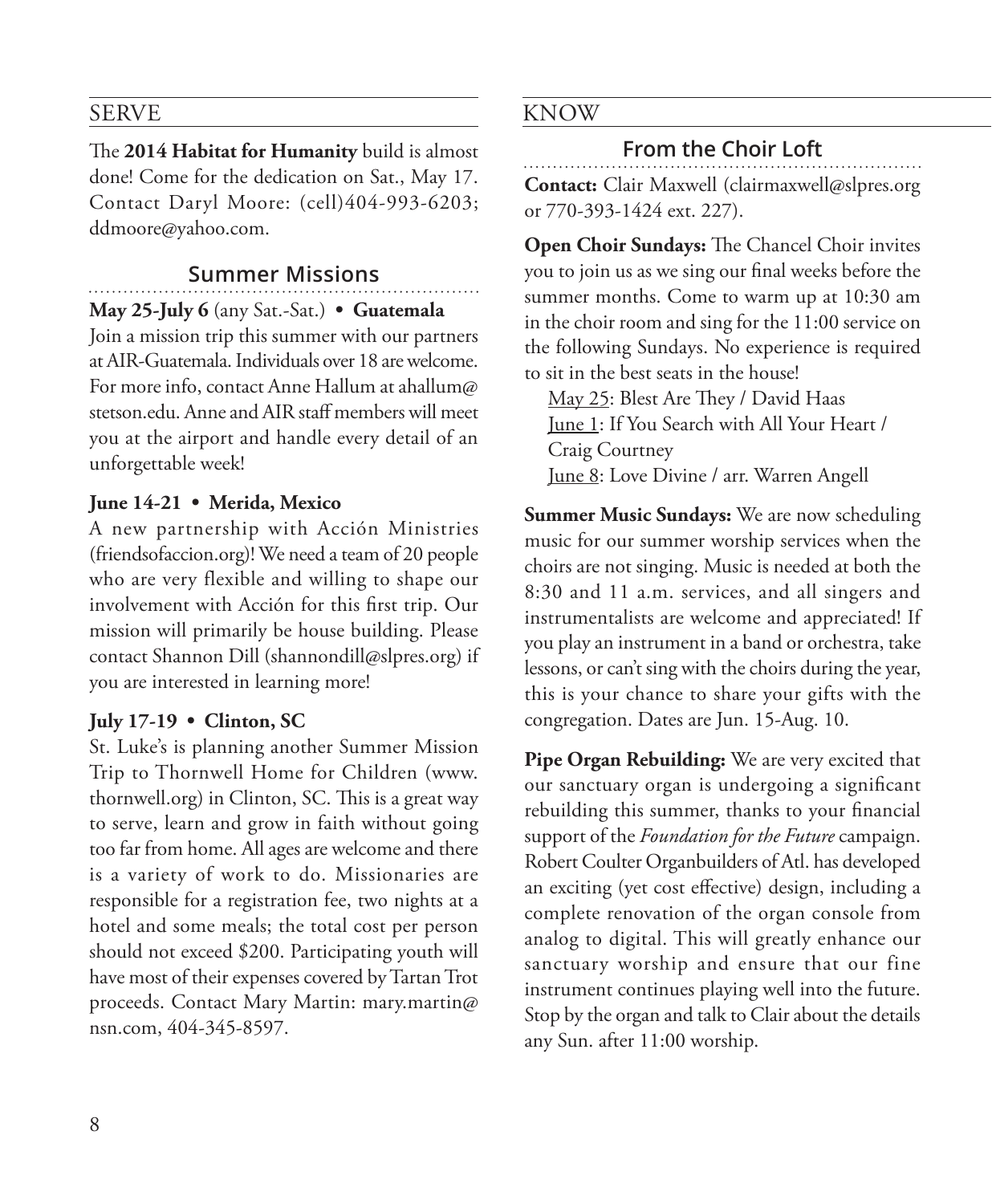#### SERVE

The **2014 Habitat for Humanity** build is almost done! Come for the dedication on Sat., May 17. Contact Daryl Moore: (cell)404-993-6203; ddmoore@yahoo.com.

#### **Summer Missions**

**May 25-July 6** (any Sat.-Sat.) **• Guatemala**

Join a mission trip this summer with our partners at AIR-Guatemala. Individuals over 18 are welcome. For more info, contact Anne Hallum at ahallum@ stetson.edu. Anne and AIR staff members will meet you at the airport and handle every detail of an unforgettable week!

#### **June 14-21 • Merida, Mexico**

A new partnership with Acción Ministries (friendsofaccion.org)! We need a team of 20 people who are very flexible and willing to shape our involvement with Acción for this first trip. Our mission will primarily be house building. Please contact Shannon Dill (shannondill@slpres.org) if you are interested in learning more!

#### **July 17-19 • Clinton, SC**

St. Luke's is planning another Summer Mission Trip to Thornwell Home for Children (www. thornwell.org) in Clinton, SC. This is a great way to serve, learn and grow in faith without going too far from home. All ages are welcome and there is a variety of work to do. Missionaries are responsible for a registration fee, two nights at a hotel and some meals; the total cost per person should not exceed \$200. Participating youth will have most of their expenses covered by Tartan Trot proceeds. Contact Mary Martin: mary.martin@ nsn.com, 404-345-8597.

#### KNOW

#### **From the Choir Loft**

**Contact:** Clair Maxwell (clairmaxwell@slpres.org or 770-393-1424 ext. 227).

**Open Choir Sundays:** The Chancel Choir invites you to join us as we sing our final weeks before the summer months. Come to warm up at 10:30 am in the choir room and sing for the 11:00 service on the following Sundays. No experience is required to sit in the best seats in the house!

May 25: Blest Are They / David Haas June 1: If You Search with All Your Heart / Craig Courtney June 8: Love Divine / arr. Warren Angell

**Summer Music Sundays:** We are now scheduling music for our summer worship services when the choirs are not singing. Music is needed at both the 8:30 and 11 a.m. services, and all singers and instrumentalists are welcome and appreciated! If you play an instrument in a band or orchestra, take lessons, or can't sing with the choirs during the year, this is your chance to share your gifts with the congregation. Dates are Jun. 15-Aug. 10.

**Pipe Organ Rebuilding:** We are very excited that our sanctuary organ is undergoing a significant rebuilding this summer, thanks to your financial support of the *Foundation for the Future* campaign. Robert Coulter Organbuilders of Atl. has developed an exciting (yet cost effective) design, including a complete renovation of the organ console from analog to digital. This will greatly enhance our sanctuary worship and ensure that our fine instrument continues playing well into the future. Stop by the organ and talk to Clair about the details any Sun. after 11:00 worship.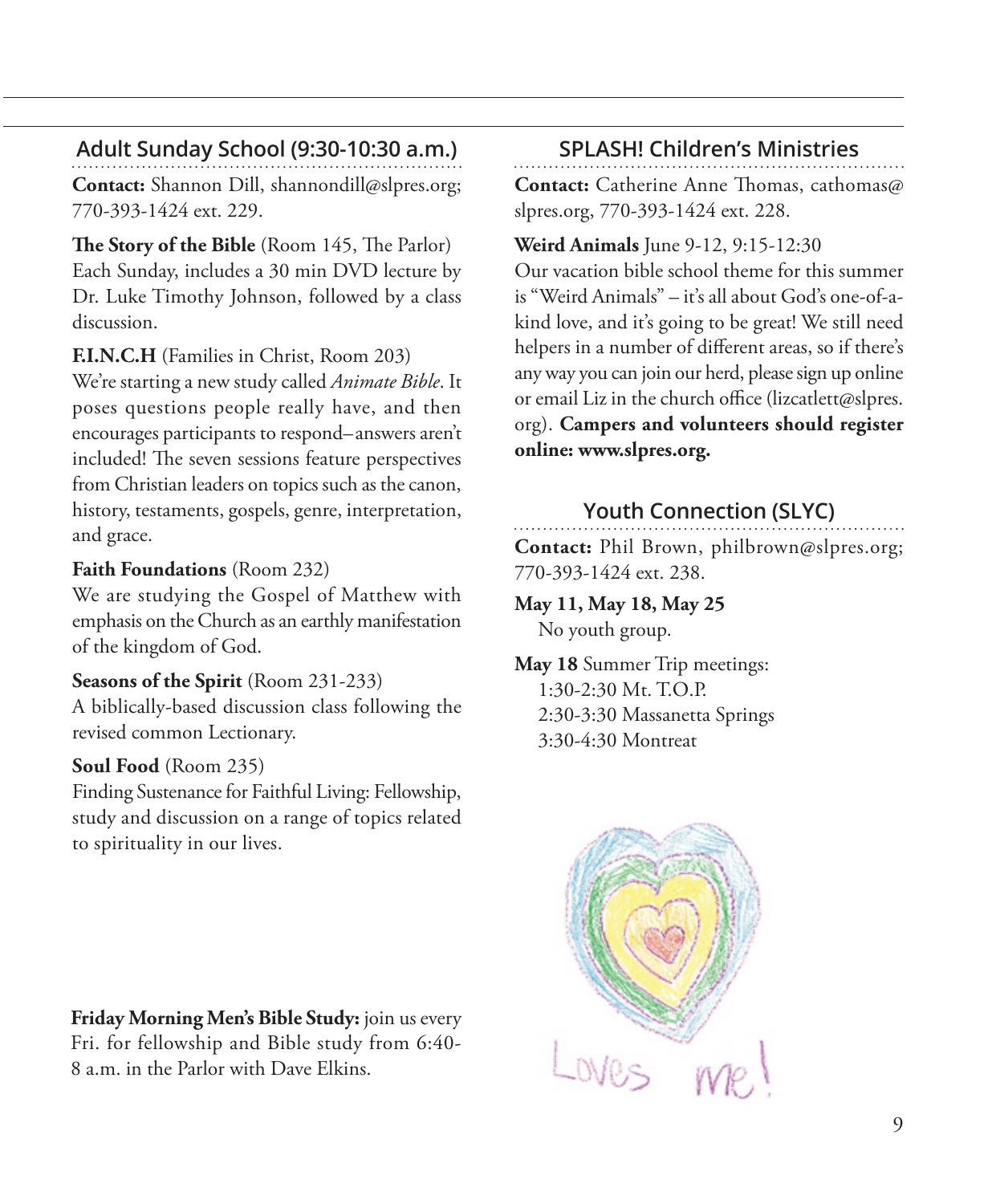### **Adult Sunday School (9:30-10:30 a.m.)**

**Contact:** Shannon Dill, shannondill@slpres.org; 770-393-1424 ext. 229.

**The Story of the Bible** (Room 145, The Parlor) Each Sunday, includes a 30 min DVD lecture by Dr. Luke Timothy Johnson, followed by a class discussion.

#### **F.I.N.C.H** (Families in Christ, Room 203)

We're starting a new study called *Animate Bible*. It poses questions people really have, and then encourages participants to respond–answers aren't included! The seven sessions feature perspectives from Christian leaders on topics such as the canon, history, testaments, gospels, genre, interpretation, and grace.

#### **Faith Foundations** (Room 232)

We are studying the Gospel of Matthew with emphasis on the Church as an earthly manifestation of the kingdom of God.

#### **Seasons of the Spirit** (Room 231-233)

A biblically-based discussion class following the revised common Lectionary.

#### **Soul Food** (Room 235)

Finding Sustenance for Faithful Living: Fellowship, study and discussion on a range of topics related to spirituality in our lives.

**Friday Morning Men's Bible Study:** join us every Fri. for fellowship and Bible study from 6:40- 8 a.m. in the Parlor with Dave Elkins.

### **SPLASH! Children's Ministries**

**Contact:** Catherine Anne Thomas, cathomas@ slpres.org, 770-393-1424 ext. 228.

#### **Weird Animals** June 9-12, 9:15-12:30 Our vacation bible school theme for this summer is "Weird Animals" – it's all about God's one-of-a-

kind love, and it's going to be great! We still need helpers in a number of different areas, so if there's any way you can join our herd, please sign up online or email Liz in the church office (lizcatlett@slpres. org). **Campers and volunteers should register online: www.slpres.org.**

### **Youth Connection (SLYC)**

**Contact:** Phil Brown, philbrown@slpres.org; 770-393-1424 ext. 238.

#### **May 11, May 18, May 25** No youth group.

**May 18** Summer Trip meetings: 1:30-2:30 Mt. T.O.P. 2:30-3:30 Massanetta Springs 3:30-4:30 Montreat

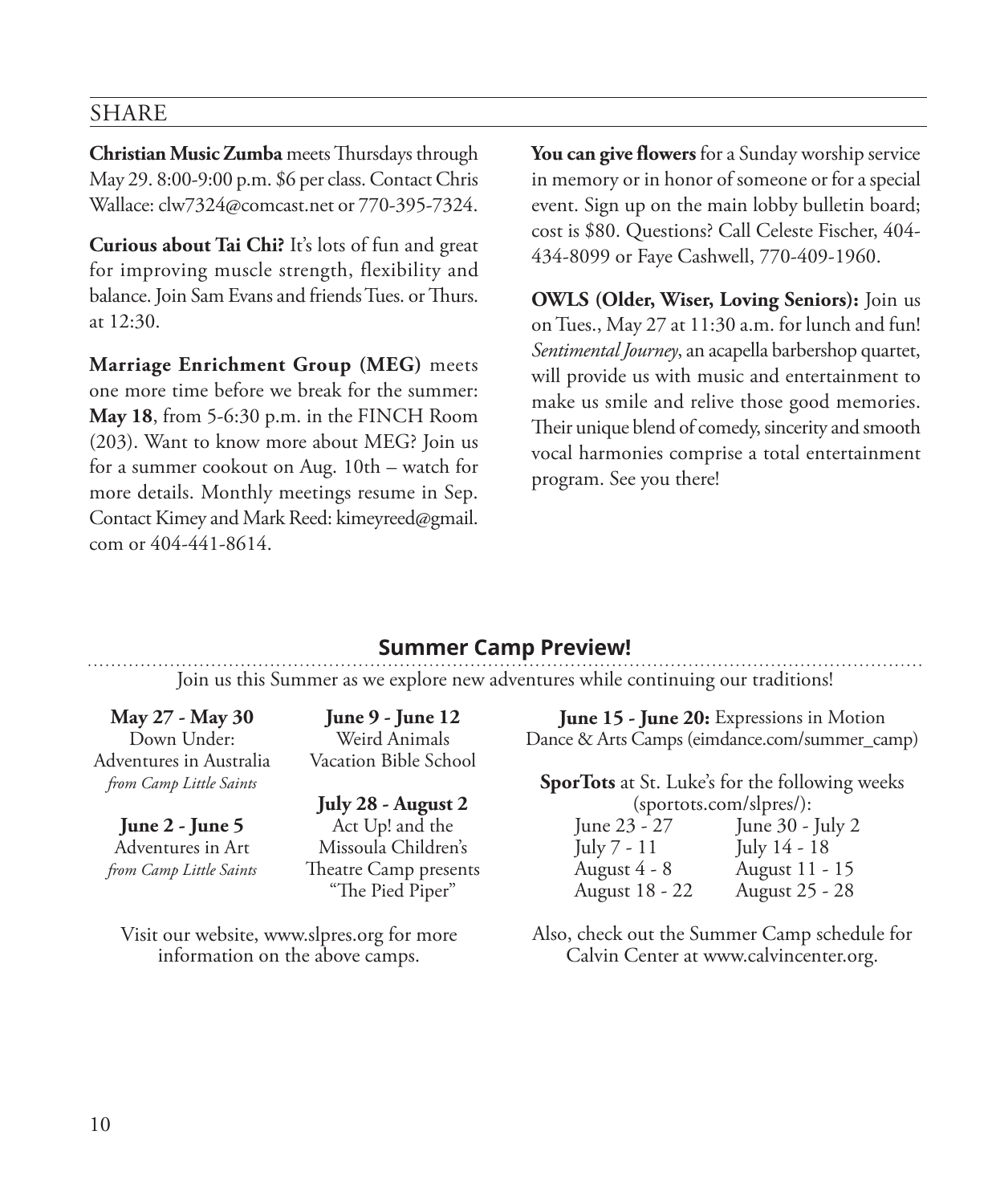#### SHARE

**Christian Music Zumba** meets Thursdays through May 29. 8:00-9:00 p.m. \$6 per class. Contact Chris Wallace: clw7324@comcast.net or 770-395-7324.

**Curious about Tai Chi?** It's lots of fun and great for improving muscle strength, flexibility and balance. Join Sam Evans and friends Tues. or Thurs. at 12:30.

**Marriage Enrichment Group (MEG)** meets one more time before we break for the summer: **May 18**, from 5-6:30 p.m. in the FINCH Room (203). Want to know more about MEG? Join us for a summer cookout on Aug. 10th – watch for more details. Monthly meetings resume in Sep. Contact Kimey and Mark Reed: kimeyreed@gmail. com or 404-441-8614.

**You can give flowers** for a Sunday worship service in memory or in honor of someone or for a special event. Sign up on the main lobby bulletin board; cost is \$80. Questions? Call Celeste Fischer, 404- 434-8099 or Faye Cashwell, 770-409-1960.

**OWLS (Older, Wiser, Loving Seniors):** Join us on Tues., May 27 at 11:30 a.m. for lunch and fun! *Sentimental Journey*, an acapella barbershop quartet, will provide us with music and entertainment to make us smile and relive those good memories. Their unique blend of comedy, sincerity and smooth vocal harmonies comprise a total entertainment program. See you there!

#### **Summer Camp Preview!**

Join us this Summer as we explore new adventures while continuing our traditions!

**May 27 - May 30**  Down Under: Adventures in Australia *from Camp Little Saints*

**June 2 - June 5**  Adventures in Art *from Camp Little Saints*

**June 9 - June 12**  Weird Animals Vacation Bible School

**July 28 - August 2**  Act Up! and the Missoula Children's Theatre Camp presents "The Pied Piper"

**June 15 - June 20:** Expressions in Motion Dance & Arts Camps (eimdance.com/summer\_camp)

**SporTots** at St. Luke's for the following weeks (sportots.com/slpres/):

| June 23 - 27   | June 30 - July 2 |
|----------------|------------------|
| July 7 - 11    | July 14 - 18     |
| August 4 - 8   | August 11 - 15   |
| August 18 - 22 | August 25 - 28   |

Visit our website, www.slpres.org for more information on the above camps.

Also, check out the Summer Camp schedule for Calvin Center at www.calvincenter.org.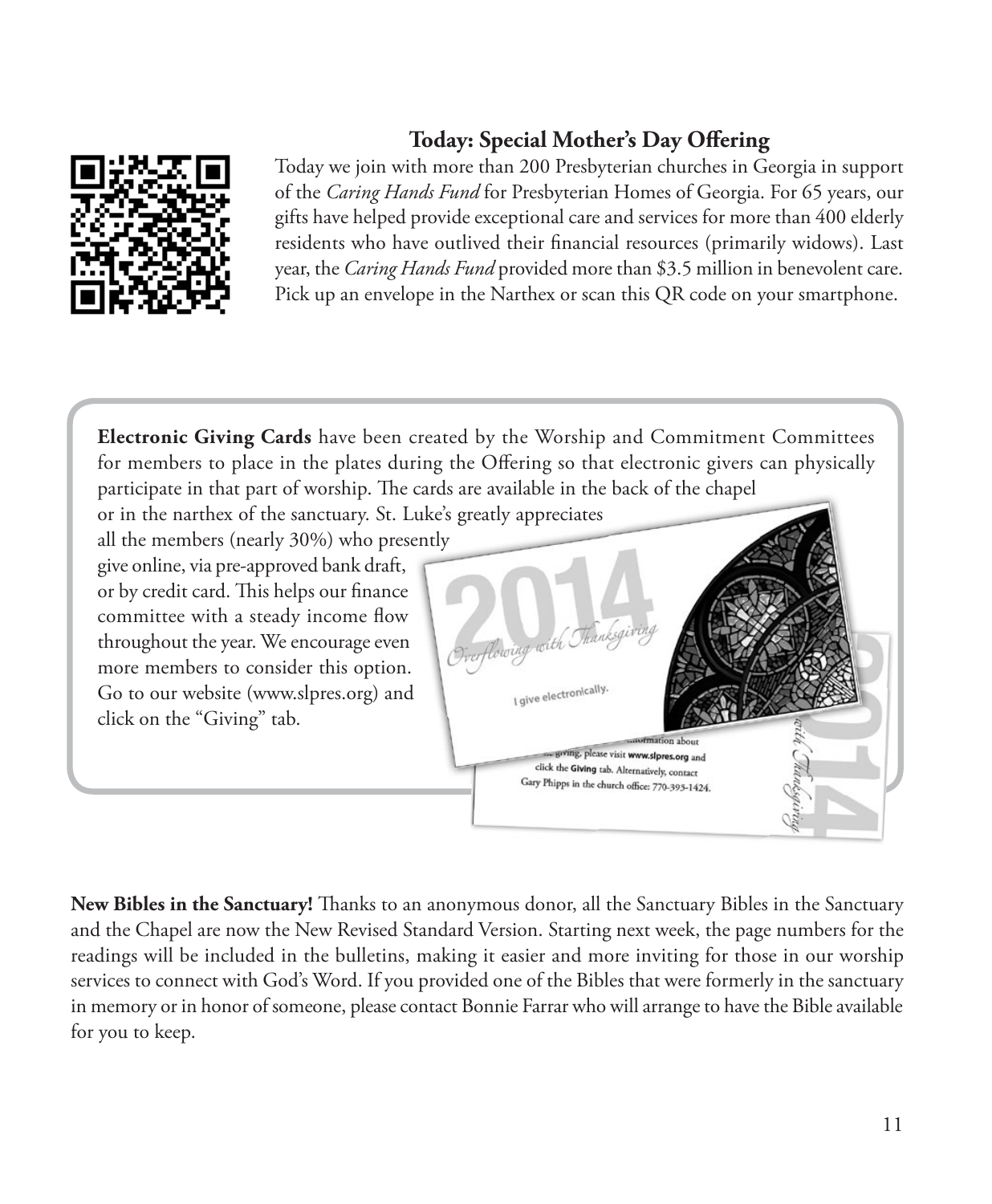

### **Today: Special Mother's Day Offering**

Today we join with more than 200 Presbyterian churches in Georgia in support of the *Caring Hands Fund* for Presbyterian Homes of Georgia. For 65 years, our gifts have helped provide exceptional care and services for more than 400 elderly residents who have outlived their financial resources (primarily widows). Last year, the *Caring Hands Fund* provided more than \$3.5 million in benevolent care. Pick up an envelope in the Narthex or scan this QR code on your smartphone.

**Electronic Giving Cards** have been created by the Worship and Commitment Committees for members to place in the plates during the Offering so that electronic givers can physically participate in that part of worship. The cards are available in the back of the chapel

all the members (nearly 30%) who presently give online, via pre-approved bank draft, or by credit card. This helps our finance committee with a steady income flow throughout the year. We encourage even more members to consider this option. Go to our website (www.slpres.org) and click on the "Giving" tab.



**New Bibles in the Sanctuary!** Thanks to an anonymous donor, all the Sanctuary Bibles in the Sanctuary and the Chapel are now the New Revised Standard Version. Starting next week, the page numbers for the readings will be included in the bulletins, making it easier and more inviting for those in our worship services to connect with God's Word. If you provided one of the Bibles that were formerly in the sanctuary in memory or in honor of someone, please contact Bonnie Farrar who will arrange to have the Bible available for you to keep.